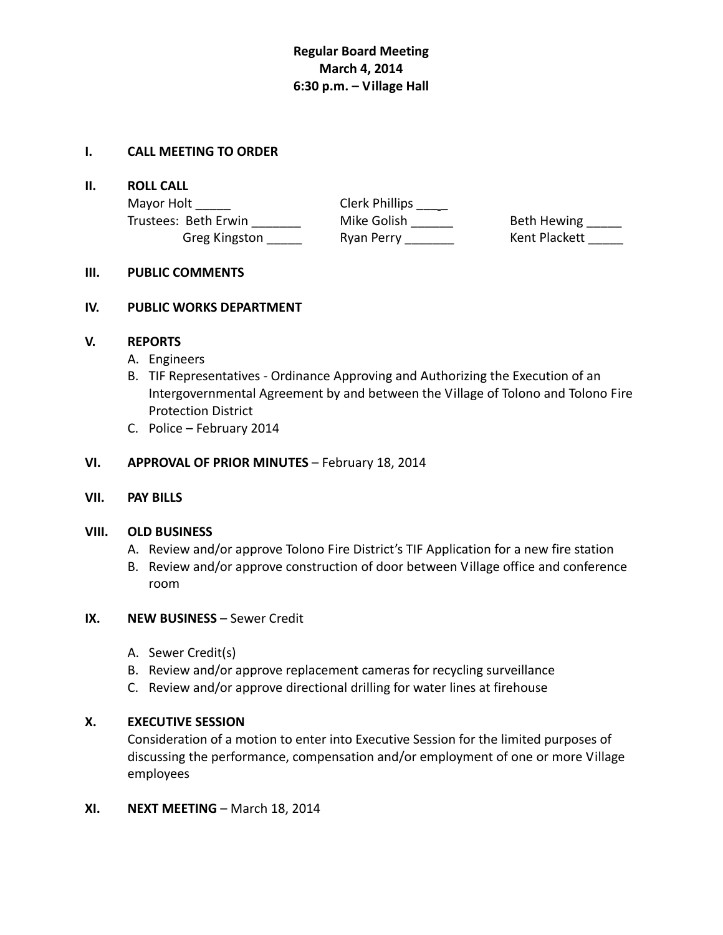# **Regular Board Meeting March 4, 2014 6:30 p.m. – Village Hall**

# **I. CALL MEETING TO ORDER**

#### **II. ROLL CALL**

Mayor Holt \_\_\_\_\_\_\_\_\_\_\_\_\_\_\_\_\_\_\_\_\_\_\_\_\_\_\_\_\_\_\_Clerk Phillips \_\_\_\_\_\_ Trustees: Beth Erwin Mike Golish \_\_\_\_\_\_ Beth Hewing \_\_\_\_

Greg Kingston **Ryan Perry Charlott** Kent Plackett

# **III. PUBLIC COMMENTS**

# **IV. PUBLIC WORKS DEPARTMENT**

# **V. REPORTS**

- A. Engineers
- B. TIF Representatives ‐ Ordinance Approving and Authorizing the Execution of an Intergovernmental Agreement by and between the Village of Tolono and Tolono Fire Protection District
- C. Police February 2014

# **VI. APPROVAL OF PRIOR MINUTES** – February 18, 2014

# **VII. PAY BILLS**

# **VIII. OLD BUSINESS**

- A. Review and/or approve Tolono Fire District's TIF Application for a new fire station
- B. Review and/or approve construction of door between Village office and conference room

# **IX. NEW BUSINESS** – Sewer Credit

- A. Sewer Credit(s)
- B. Review and/or approve replacement cameras for recycling surveillance
- C. Review and/or approve directional drilling for water lines at firehouse

# **X. EXECUTIVE SESSION**

Consideration of a motion to enter into Executive Session for the limited purposes of discussing the performance, compensation and/or employment of one or more Village employees

**XI. NEXT MEETING** – March 18, 2014